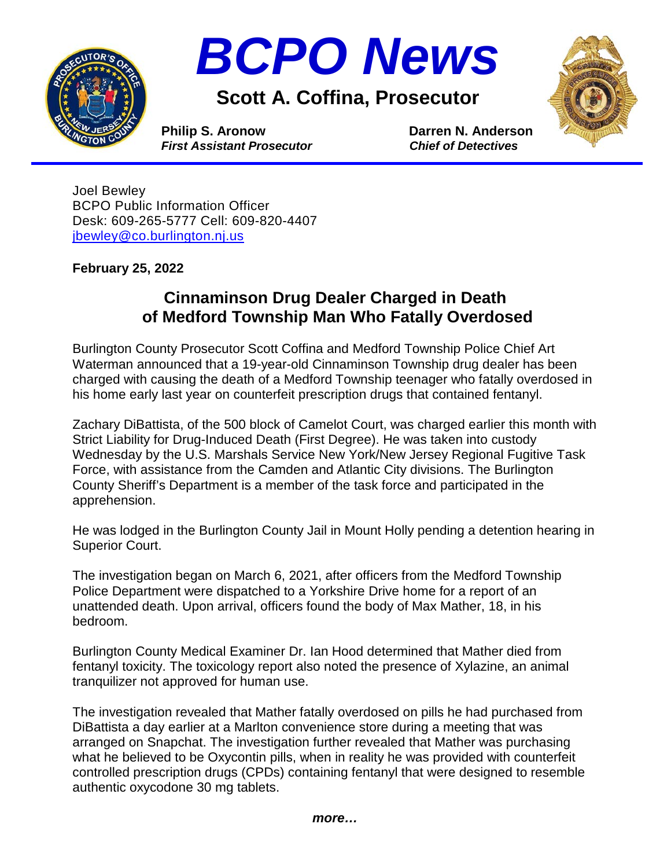



**Scott A. Coffina, Prosecutor**



**Philip S. Aronow Darren N. Anderson**<br> *First Assistant Prosecutor* Chief of Detectives *First Assistant Prosecutor* 

Joel Bewley BCPO Public Information Officer Desk: 609-265-5777 Cell: 609-820-4407 [jbewley@co.burlington.nj.us](mailto:jbewley@co.burlington.nj.us)

**February 25, 2022**

## **Cinnaminson Drug Dealer Charged in Death of Medford Township Man Who Fatally Overdosed**

Burlington County Prosecutor Scott Coffina and Medford Township Police Chief Art Waterman announced that a 19-year-old Cinnaminson Township drug dealer has been charged with causing the death of a Medford Township teenager who fatally overdosed in his home early last year on counterfeit prescription drugs that contained fentanyl.

Zachary DiBattista, of the 500 block of Camelot Court, was charged earlier this month with Strict Liability for Drug-Induced Death (First Degree). He was taken into custody Wednesday by the U.S. Marshals Service New York/New Jersey Regional Fugitive Task Force, with assistance from the Camden and Atlantic City divisions. The Burlington County Sheriff's Department is a member of the task force and participated in the apprehension.

He was lodged in the Burlington County Jail in Mount Holly pending a detention hearing in Superior Court.

The investigation began on March 6, 2021, after officers from the Medford Township Police Department were dispatched to a Yorkshire Drive home for a report of an unattended death. Upon arrival, officers found the body of Max Mather, 18, in his bedroom.

Burlington County Medical Examiner Dr. Ian Hood determined that Mather died from fentanyl toxicity. The toxicology report also noted the presence of Xylazine, an animal tranquilizer not approved for human use.

The investigation revealed that Mather fatally overdosed on pills he had purchased from DiBattista a day earlier at a Marlton convenience store during a meeting that was arranged on Snapchat. The investigation further revealed that Mather was purchasing what he believed to be Oxycontin pills, when in reality he was provided with counterfeit controlled prescription drugs (CPDs) containing fentanyl that were designed to resemble authentic oxycodone 30 mg tablets.